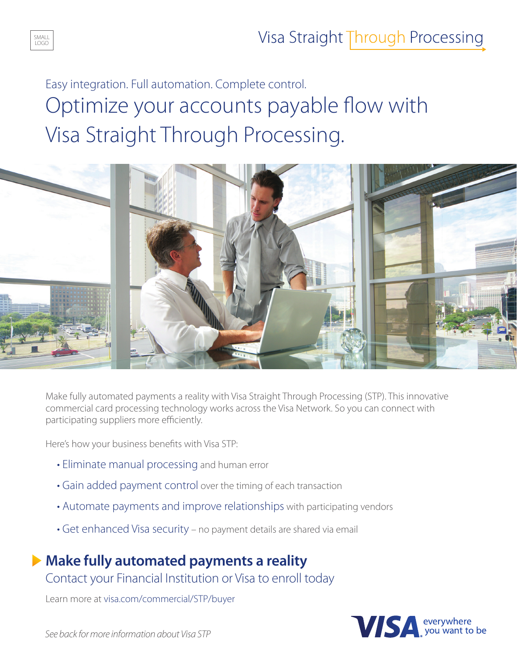Easy integration. Full automation. Complete control. Optimize your accounts payable flow with Visa Straight Through Processing.



Make fully automated payments a reality with Visa Straight Through Processing (STP). This innovative commercial card processing technology works across the Visa Network. So you can connect with participating suppliers more efficiently.

Here's how your business benefits with Visa STP:

SMALL LOGO

- Eliminate manual processing and human error
- Gain added payment control over the timing of each transaction
- Automate payments and improve relationships with participating vendors
- Get enhanced Visa security no payment details are shared via email

## **Make fully automated payments a reality**

Contact your Financial Institution or Visa to enroll today

Learn more at visa.com/commercial/STP/buyer